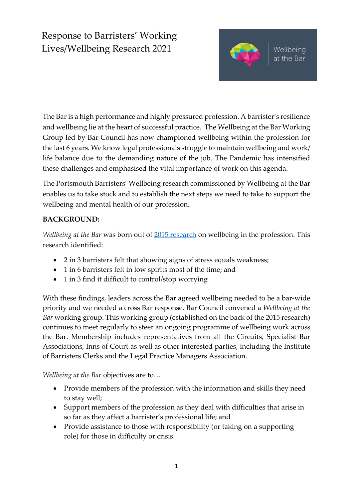# Response to Barristers' Working Lives/Wellbeing Research 2021



The Bar is a high performance and highly pressured profession. A barrister's resilience and wellbeing lie at the heart of successful practice. The Wellbeing at the Bar Working Group led by Bar Council has now championed wellbeing within the profession for the last 6 years. We know legal professionals struggle to maintain wellbeing and work/ life balance due to the demanding nature of the job. The Pandemic has intensified these challenges and emphasised the vital importance of work on this agenda.

The Portsmouth Barristers' Wellbeing research commissioned by Wellbeing at the Bar enables us to take stock and to establish the next steps we need to take to support the wellbeing and mental health of our profession.

#### **BACKGROUND:**

*Wellbeing at the Bar* was born out of [2015 research](file:///C:/Users/SMercer/Downloads/Wellbeing%20at%20the%20Bar%20report.pdf) on wellbeing in the profession. This research identified:

- 2 in 3 barristers felt that showing signs of stress equals weakness;
- 1 in 6 barristers felt in low spirits most of the time; and
- 1 in 3 find it difficult to control/stop worrying

With these findings, leaders across the Bar agreed wellbeing needed to be a bar-wide priority and we needed a cross Bar response. Bar Council convened a *Wellbeing at the Bar* working group. This working group (established on the back of the 2015 research) continues to meet regularly to steer an ongoing programme of wellbeing work across the Bar. Membership includes representatives from all the Circuits, Specialist Bar Associations, Inns of Court as well as other interested parties, including the Institute of Barristers Clerks and the Legal Practice Managers Association.

*Wellbeing at the Bar* objectives are to…

- Provide members of the profession with the information and skills they need to stay well;
- Support members of the profession as they deal with difficulties that arise in so far as they affect a barrister's professional life; and
- Provide assistance to those with responsibility (or taking on a supporting role) for those in difficulty or crisis.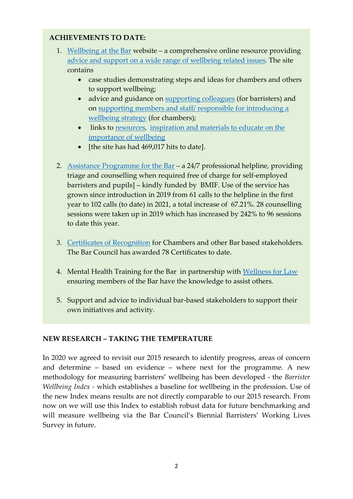#### **ACHIEVEMENTS TO DATE:**

- 1. [Wellbeing at the Bar](https://www.wellbeingatthebar.org.uk/) website a comprehensive online resource providing [advice and support on a wide range of wellbeing related issues](https://www.wellbeingatthebar.org.uk/help-for-barristers/). The site contains
	- case studies demonstrating steps and ideas for chambers and others to support wellbeing;
	- advice and guidance on [supporting colleagues](https://www.wellbeingatthebar.org.uk/help-a-colleague/) (for barristers) and on [supporting members and staff/ responsible for introducing a](https://www.wellbeingatthebar.org.uk/policy-and-practice/)  [wellbeing strategy](https://www.wellbeingatthebar.org.uk/policy-and-practice/) (for chambers);
	- links to [resources](https://www.wellbeingatthebar.org.uk/support-for-barristers/), [inspiration and materials to educate on the](https://www.wellbeingatthebar.org.uk/staying-well/)  [importance of wellbeing](https://www.wellbeingatthebar.org.uk/staying-well/)
	- [the site has had 469,017 hits to date].
- 2. [Assistance Programme for the Bar](https://www.wellbeingatthebar.org.uk/assistance-programme/) a 24/7 professional helpline, providing triage and counselling when required free of charge for self-employed barristers and pupils] – kindly funded by BMIF. Use of the service has grown since introduction in 2019 from 61 calls to the helpline in the first year to 102 calls (to date) in 2021, a total increase of 67.21%. 28 counselling sessions were taken up in 2019 which has increased by 242% to 96 sessions to date this year.
- 3. [Certificates of Recognition](https://www.wellbeingatthebar.org.uk/case_study/) for Chambers and other Bar based stakeholders. The Bar Council has awarded 78 Certificates to date.
- 4. Mental Health Training for the Bar in partnership with [Wellness for Law](http://www.wellnessforlawuk.org/mental-health-training/) ensuring members of the Bar have the knowledge to assist others.
- 5. Support and advice to individual bar-based stakeholders to support their own initiatives and activity.

#### **NEW RESEARCH – TAKING THE TEMPERATURE**

In 2020 we agreed to revisit our 2015 research to identify progress, areas of concern and determine – based on evidence – where next for the programme. A new methodology for measuring barristers' wellbeing has been developed - the *Barrister Wellbeing Index -* which establishes a baseline for wellbeing in the profession. Use of the new Index means results are not directly comparable to our 2015 research. From now on we will use this Index to establish robust data for future benchmarking and will measure wellbeing via the Bar Council's Biennial Barristers' Working Lives Survey in future.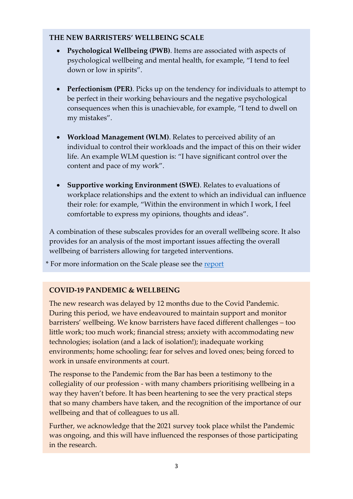#### **THE NEW BARRISTERS' WELLBEING SCALE**

- **Psychological Wellbeing (PWB)**. Items are associated with aspects of psychological wellbeing and mental health, for example, "I tend to feel down or low in spirits".
- **Perfectionism (PER)**. Picks up on the tendency for individuals to attempt to be perfect in their working behaviours and the negative psychological consequences when this is unachievable, for example, "I tend to dwell on my mistakes".
- **Workload Management (WLM)**. Relates to perceived ability of an individual to control their workloads and the impact of this on their wider life. An example WLM question is: "I have significant control over the content and pace of my work".
- **Supportive working Environment (SWE)**. Relates to evaluations of workplace relationships and the extent to which an individual can influence their role: for example, "Within the environment in which I work, I feel comfortable to express my opinions, thoughts and ideas".

A combination of these subscales provides for an overall wellbeing score. It also provides for an analysis of the most important issues affecting the overall wellbeing of barristers allowing for targeted interventions.

\* For more information on the Scale please see the [report](https://www.barcouncil.org.uk/uploads/assets/55b160bc-35c7-48a6-b105e68526019ca5/8a57305c-4c3e-46c9-af444c221354e2b7/Working-Lives-2021-wellbeing-analysis.pdf)

#### **COVID-19 PANDEMIC & WELLBEING**

The new research was delayed by 12 months due to the Covid Pandemic. During this period, we have endeavoured to maintain support and monitor barristers' wellbeing. We know barristers have faced different challenges – too little work; too much work; financial stress; anxiety with accommodating new technologies; isolation (and a lack of isolation!); inadequate working environments; home schooling; fear for selves and loved ones; being forced to work in unsafe environments at court.

The response to the Pandemic from the Bar has been a testimony to the collegiality of our profession - with many chambers prioritising wellbeing in a way they haven't before. It has been heartening to see the very practical steps that so many chambers have taken, and the recognition of the importance of our wellbeing and that of colleagues to us all.

Further, we acknowledge that the 2021 survey took place whilst the Pandemic was ongoing, and this will have influenced the responses of those participating in the research.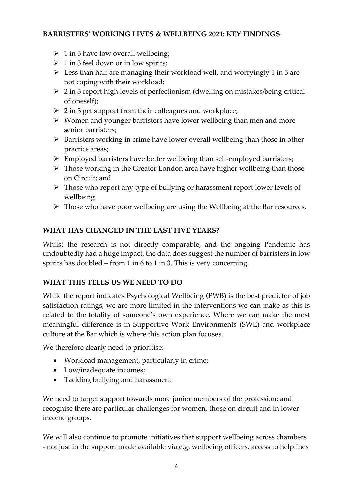#### **BARRISTERS' WORKING LIVES & WELLBEING 2021: KEY FINDINGS**

- $\geq 1$  in 3 have low overall wellbeing;
- $\geq 1$  in 3 feel down or in low spirits;
- $\triangleright$  Less than half are managing their workload well, and worryingly 1 in 3 are not coping with their workload;
- ➢ 2 in 3 report high levels of perfectionism (dwelling on mistakes/being critical of oneself);
- ➢ 2 in 3 get support from their colleagues and workplace;
- ➢ Women and younger barristers have lower wellbeing than men and more senior barristers;
- ➢ Barristers working in crime have lower overall wellbeing than those in other practice areas;
- ➢ Employed barristers have better wellbeing than self-employed barristers;
- ➢ Those working in the Greater London area have higher wellbeing than those on Circuit; and
- ➢ Those who report any type of bullying or harassment report lower levels of wellbeing
- ➢ Those who have poor wellbeing are using the Wellbeing at the Bar resources.

# **WHAT HAS CHANGED IN THE LAST FIVE YEARS?**

Whilst the research is not directly comparable, and the ongoing Pandemic has undoubtedly had a huge impact, the data does suggest the number of barristers in low spirits has doubled – from 1 in 6 to 1 in 3. This is very concerning.

## **WHAT THIS TELLS US WE NEED TO DO**

While the report indicates Psychological Wellbeing **(**PWB) is the best predictor of job satisfaction ratings, we are more limited in the interventions we can make as this is related to the totality of someone's own experience. Where we can make the most meaningful difference is in Supportive Work Environments (SWE) and workplace culture at the Bar which is where this action plan focuses.

We therefore clearly need to prioritise:

- Workload management, particularly in crime;
- Low/inadequate incomes;
- Tackling bullying and harassment

We need to target support towards more junior members of the profession; and recognise there are particular challenges for women, those on circuit and in lower income groups.

We will also continue to promote initiatives that support wellbeing across chambers - not just in the support made available via e.g. wellbeing officers, access to helplines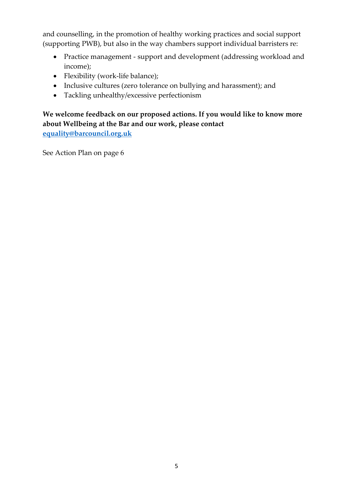and counselling, in the promotion of healthy working practices and social support (supporting PWB), but also in the way chambers support individual barristers re:

- Practice management support and development (addressing workload and income);
- Flexibility (work-life balance);
- Inclusive cultures (zero tolerance on bullying and harassment); and
- Tackling unhealthy/excessive perfectionism

## **We welcome feedback on our proposed actions. If you would like to know more about Wellbeing at the Bar and our work, please contact [equality@barcouncil.org.uk](mailto:equality@barcouncil.org.uk)**

See Action Plan on page 6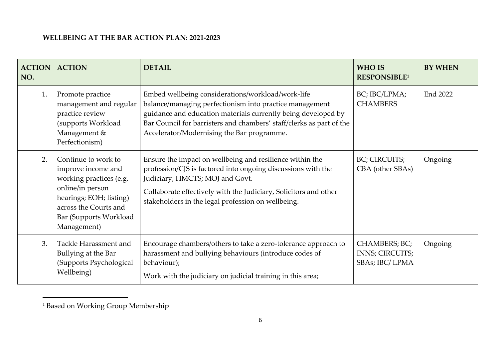#### **WELLBEING AT THE BAR ACTION PLAN: 2021-2023**

| <b>ACTION</b><br>NO. | <b>ACTION</b>                                                                                                                                                                         | <b>DETAIL</b>                                                                                                                                                                                                                                                                                       | <b>WHO IS</b><br>RESPONSIBLE <sup>1</sup>          | <b>BY WHEN</b> |
|----------------------|---------------------------------------------------------------------------------------------------------------------------------------------------------------------------------------|-----------------------------------------------------------------------------------------------------------------------------------------------------------------------------------------------------------------------------------------------------------------------------------------------------|----------------------------------------------------|----------------|
| 1.                   | Promote practice<br>management and regular<br>practice review<br>(supports Workload<br>Management &<br>Perfectionism)                                                                 | Embed wellbeing considerations/workload/work-life<br>balance/managing perfectionism into practice management<br>guidance and education materials currently being developed by<br>Bar Council for barristers and chambers' staff/clerks as part of the<br>Accelerator/Modernising the Bar programme. | BC; IBC/LPMA;<br><b>CHAMBERS</b>                   | End 2022       |
| 2.                   | Continue to work to<br>improve income and<br>working practices (e.g.<br>online/in person<br>hearings; EOH; listing)<br>across the Courts and<br>Bar (Supports Workload<br>Management) | Ensure the impact on wellbeing and resilience within the<br>profession/CJS is factored into ongoing discussions with the<br>Judiciary; HMCTS; MOJ and Govt.<br>Collaborate effectively with the Judiciary, Solicitors and other<br>stakeholders in the legal profession on wellbeing.               | BC; CIRCUITS;<br>CBA (other SBAs)                  | Ongoing        |
| 3.                   | Tackle Harassment and<br>Bullying at the Bar<br>(Supports Psychological<br>Wellbeing)                                                                                                 | Encourage chambers/others to take a zero-tolerance approach to<br>harassment and bullying behaviours (introduce codes of<br>behaviour);<br>Work with the judiciary on judicial training in this area;                                                                                               | CHAMBERS; BC;<br>INNS; CIRCUITS;<br>SBAs; IBC/LPMA | Ongoing        |

<sup>1</sup> Based on Working Group Membership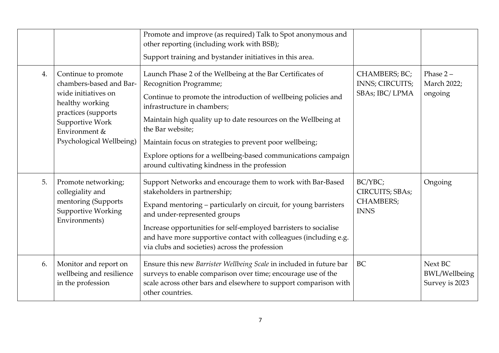|    |                                                                                                                                                                                 | Promote and improve (as required) Talk to Spot anonymous and<br>other reporting (including work with BSB);<br>Support training and bystander initiatives in this area.                                                                                                                                                                                                                                                                                   |                                                               |                                                   |
|----|---------------------------------------------------------------------------------------------------------------------------------------------------------------------------------|----------------------------------------------------------------------------------------------------------------------------------------------------------------------------------------------------------------------------------------------------------------------------------------------------------------------------------------------------------------------------------------------------------------------------------------------------------|---------------------------------------------------------------|---------------------------------------------------|
| 4. | Continue to promote<br>chambers-based and Bar-<br>wide initiatives on<br>healthy working<br>practices (supports<br>Supportive Work<br>Environment &<br>Psychological Wellbeing) | Launch Phase 2 of the Wellbeing at the Bar Certificates of<br>Recognition Programme;<br>Continue to promote the introduction of wellbeing policies and<br>infrastructure in chambers;<br>Maintain high quality up to date resources on the Wellbeing at<br>the Bar website;<br>Maintain focus on strategies to prevent poor wellbeing;<br>Explore options for a wellbeing-based communications campaign<br>around cultivating kindness in the profession | CHAMBERS; BC;<br>INNS; CIRCUITS;<br>SBAs; IBC/LPMA            | Phase $2 -$<br>March 2022;<br>ongoing             |
| 5. | Promote networking;<br>collegiality and<br>mentoring (Supports<br><b>Supportive Working</b><br>Environments)                                                                    | Support Networks and encourage them to work with Bar-Based<br>stakeholders in partnership;<br>Expand mentoring - particularly on circuit, for young barristers<br>and under-represented groups<br>Increase opportunities for self-employed barristers to socialise<br>and have more supportive contact with colleagues (including e.g.<br>via clubs and societies) across the profession                                                                 | BC/YBC;<br>CIRCUITS; SBAs;<br><b>CHAMBERS;</b><br><b>INNS</b> | Ongoing                                           |
| 6. | Monitor and report on<br>wellbeing and resilience<br>in the profession                                                                                                          | Ensure this new Barrister Wellbeing Scale in included in future bar<br>surveys to enable comparison over time; encourage use of the<br>scale across other bars and elsewhere to support comparison with<br>other countries.                                                                                                                                                                                                                              | BC                                                            | Next BC<br><b>BWL/Wellbeing</b><br>Survey is 2023 |